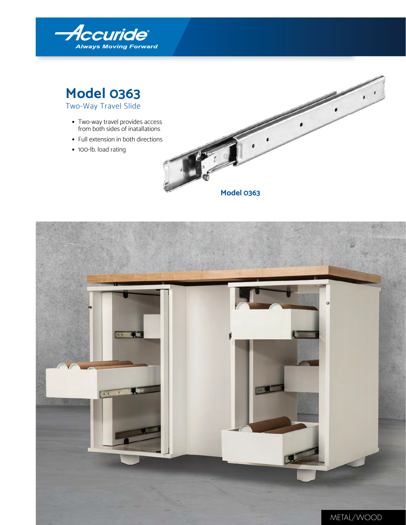